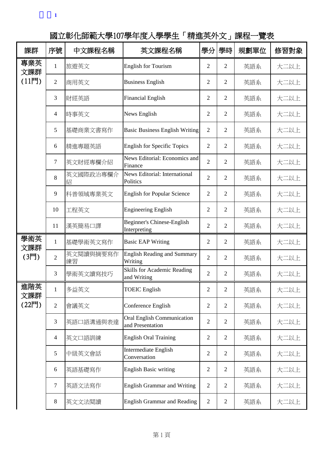附表**1**

國立彰化師範大學107學年度入學學生「精進英外文」課程一覽表

| 課群                     | 序號             | 中文課程名稱          | 英文課程名稱                                            | 學分             | 學時             | 規劃單位 | 修習對象 |
|------------------------|----------------|-----------------|---------------------------------------------------|----------------|----------------|------|------|
| 專業英<br>文課群<br>$(11$ 門  | 1              | 旅遊英文            | <b>English for Tourism</b>                        | $\mathfrak{2}$ | $\overline{2}$ | 英語系  | 大二以上 |
|                        | $\overline{2}$ | 商用英文            | <b>Business English</b>                           | 2              | 2              | 英語系  | 大二以上 |
|                        | 3              | 財經英語            | <b>Financial English</b>                          | $\mathfrak{2}$ | $\overline{2}$ | 英語系  | 大二以上 |
|                        | 4              | 時事英文            | News English                                      | $\mathfrak{2}$ | $\overline{2}$ | 英語系  | 大二以上 |
|                        | 5              | 基礎商業文書寫作        | <b>Basic Business English Writing</b>             | $\overline{2}$ | $\overline{2}$ | 英語系  | 大二以上 |
|                        | 6              | 精進專題英語          | <b>English for Specific Topics</b>                | $\overline{2}$ | $\overline{2}$ | 英語系  | 大二以上 |
|                        | $\tau$         | 英文財經專欄介紹        | News Editorial: Economics and<br>Finance          | $\overline{2}$ | $\overline{2}$ | 英語系  | 大二以上 |
|                        | 8              | 英文國際政治專欄介<br>紹  | News Editorial: International<br>Politics         | $\overline{2}$ | 2              | 英語系  | 大二以上 |
|                        | 9              | 科普領域專業英文        | <b>English for Popular Science</b>                | $\overline{2}$ | $\overline{2}$ | 英語系  | 大二以上 |
|                        | 10             | 工程英文            | <b>Engineering English</b>                        | $\mathfrak{2}$ | $\overline{2}$ | 英語系  | 大二以上 |
|                        | 11             | 漢英簡易口譯          | Beginner's Chinese-English<br>Interpreting        | $\mathfrak{2}$ | $\overline{2}$ | 英語系  | 大二以上 |
| 學術英<br>文課群             | $\mathbf{1}$   | 基礎學術英文寫作        | <b>Basic EAP Writing</b>                          | $\mathfrak{2}$ | $\overline{2}$ | 英語系  | 大二以上 |
| $(3F$ ]                | $\overline{2}$ | 英文閱讀與摘要寫作<br>練習 | <b>English Reading and Summary</b><br>Writing     | $\overline{2}$ | $\overline{2}$ | 英語系  | 大二以上 |
|                        | 3              | 學術英文讀寫技巧        | <b>Skills for Academic Reading</b><br>and Writing | $\overline{2}$ | $\overline{2}$ | 英語系  | 大二以上 |
| 進階英<br>文課群             | $\mathbf{1}$   | 多益英文            | <b>TOEIC</b> English                              | $\overline{2}$ | $\overline{2}$ | 英語系  | 大二以上 |
| $(22$ $\overline{F}$ ] | $\mathbf{2}$   | 會議英文            | Conference English                                | $\overline{2}$ | $\overline{2}$ | 英語系  | 大二以上 |
|                        | 3              | 英語口語溝通與表達       | Oral English Communication<br>and Presentation    | $\overline{2}$ | $\overline{2}$ | 英語系  | 大二以上 |
|                        | $\overline{4}$ | 英文口語訓練          | <b>English Oral Training</b>                      | $\overline{2}$ | $\overline{2}$ | 英語系  | 大二以上 |
|                        | 5              | 中級英文會話          | Intermediate English<br>Conversation              | $\overline{2}$ | $\overline{2}$ | 英語系  | 大二以上 |
|                        | 6              | 英語基礎寫作          | <b>English Basic writing</b>                      | $\overline{2}$ | $\overline{2}$ | 英語系  | 大二以上 |
|                        | $\tau$         | 英語文法寫作          | <b>English Grammar and Writing</b>                | $\mathbf{2}$   | $\overline{2}$ | 英語系  | 大二以上 |
|                        | 8              | 英文文法閱讀          | <b>English Grammar and Reading</b>                | $\overline{2}$ | $\mathbf{2}$   | 英語系  | 大二以上 |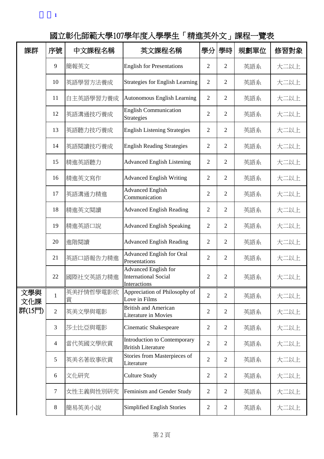| 課群         | 序號             | 中文課程名稱         | 英文課程名稱                                                              | 學分             | 學時             | 規劃單位 | 修習對象 |
|------------|----------------|----------------|---------------------------------------------------------------------|----------------|----------------|------|------|
|            | 9              | 簡報英文           | <b>English for Presentations</b>                                    | $\overline{2}$ | $\overline{2}$ | 英語系  | 大二以上 |
|            | 10             | 英語學習方法養成       | Strategies for English Learning                                     | $\overline{2}$ | $\overline{2}$ | 英語系  | 大二以上 |
|            | 11             | 自主英語學習力養成      | <b>Autonomous English Learning</b>                                  | $\overline{2}$ | $\overline{2}$ | 英語系  | 大二以上 |
|            | 12             | 英語溝通技巧養成       | <b>English Communication</b><br>Strategies                          | $\overline{2}$ | $\overline{2}$ | 英語系  | 大二以上 |
|            | 13             | 英語聽力技巧養成       | <b>English Listening Strategies</b>                                 | $\overline{2}$ | $\overline{2}$ | 英語系  | 大二以上 |
|            | 14             | 英語閱讀技巧養成       | <b>English Reading Strategies</b>                                   | $\overline{2}$ | $\overline{2}$ | 英語系  | 大二以上 |
|            | 15             | 精進英語聽力         | <b>Advanced English Listening</b>                                   | $\overline{2}$ | $\overline{2}$ | 英語系  | 大二以上 |
|            | 16             | 精進英文寫作         | <b>Advanced English Writing</b>                                     | $\overline{2}$ | $\overline{2}$ | 英語系  | 大二以上 |
|            | 17             | 英語溝通力精進        | <b>Advanced English</b><br>Communication                            | $\overline{2}$ | $\overline{2}$ | 英語系  | 大二以上 |
|            | 18             | 精進英文閱讀         | <b>Advanced English Reading</b>                                     | $\overline{2}$ | 2              | 英語系  | 大二以上 |
|            | 19             | 精進英語口說         | <b>Advanced English Speaking</b>                                    | $\overline{2}$ | $\overline{2}$ | 英語系  | 大二以上 |
|            | 20             | 進階閱讀           | <b>Advanced English Reading</b>                                     | $\overline{2}$ | $\overline{2}$ | 英語系  | 大二以上 |
|            | 21             | 英語口語報告力精進      | <b>Advanced English for Oral</b><br>Presentations                   | $\overline{2}$ | $\overline{2}$ | 英語系  | 大二以上 |
|            | 22             | 國際社交英語力精進      | Advanced English for<br><b>International Social</b><br>Interactions | $\overline{2}$ | $\overline{2}$ | 英語系  | 大二以上 |
| 文學與<br>文化課 | $\mathbf{1}$   | 英美抒情哲學電影欣<br>賞 | Appreciation of Philosophy of<br>Love in Films                      | $\overline{2}$ | 2              | 英語系  | 大二以上 |
| 群(15門)     | $\overline{2}$ | 英美文學與電影        | <b>British and American</b><br><b>Literature in Movies</b>          | $\overline{2}$ | $\overline{2}$ | 英語系  | 大二以上 |
|            | 3              | 莎士比亞與電影        | Cinematic Shakespeare                                               | $\overline{2}$ | $\overline{2}$ | 英語系  | 大二以上 |
|            | $\overline{4}$ | 當代英國文學欣賞       | <b>Introduction to Contemporary</b><br><b>British Literature</b>    | $\overline{2}$ | $\overline{2}$ | 英語系  | 大二以上 |
|            | 5              | 英美名著故事欣賞       | Stories from Masterpieces of<br>Literature                          | $\overline{2}$ | $\overline{2}$ | 英語系  | 大二以上 |
|            | 6              | 文化研究           | <b>Culture Study</b>                                                | $\overline{2}$ | $\overline{2}$ | 英語系  | 大二以上 |
|            | $\tau$         | 女性主義與性別研究      | Feminism and Gender Study                                           | $\overline{2}$ | $\overline{2}$ | 英語系  | 大二以上 |
|            | $8\,$          | 簡易英美小說         | Simplified English Stories                                          | $\overline{2}$ | $\overline{2}$ | 英語系  | 大二以上 |

國立彰化師範大學107學年度入學學生「精進英外文」課程一覽表

附表**1**